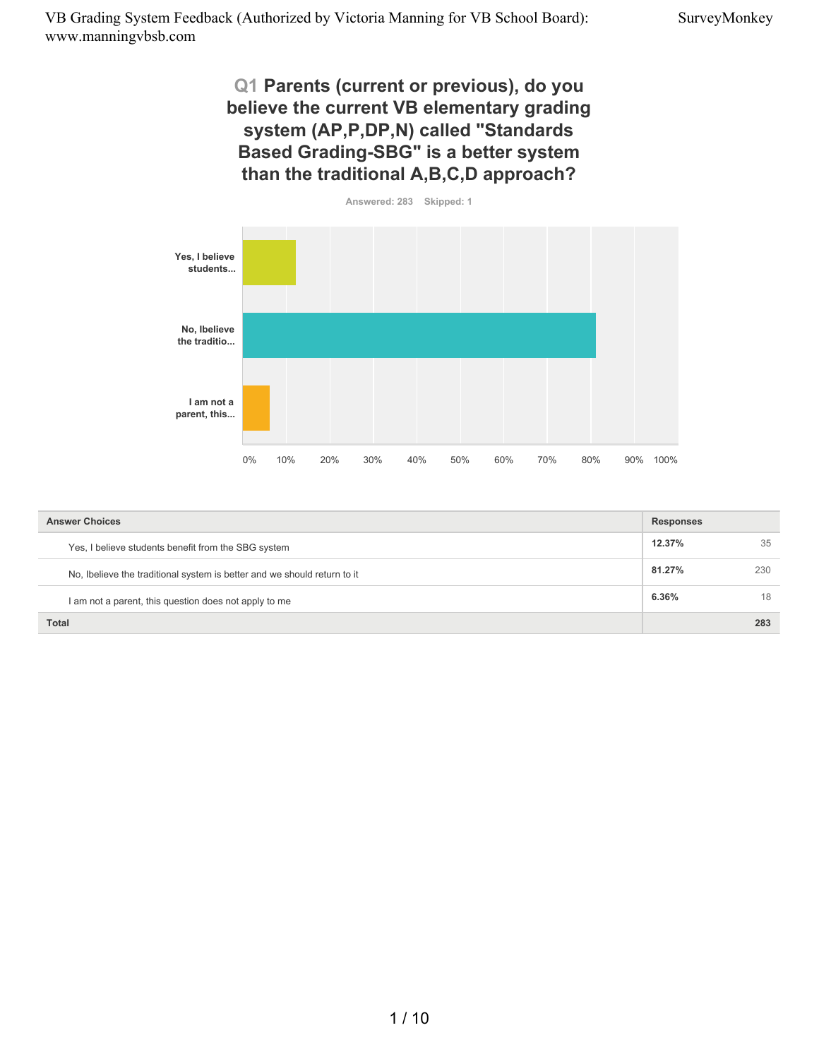# **Q1 Parents (current or previous), do you believe the current VB elementary grading system (AP,P,DP,N) called "Standards Based Grading-SBG" is a better system than the traditional A,B,C,D approach?**



| <b>Answer Choices</b>                                                    |        |     |
|--------------------------------------------------------------------------|--------|-----|
| Yes, I believe students benefit from the SBG system                      | 12.37% | 35  |
| No, Ibelieve the traditional system is better and we should return to it | 81.27% | 230 |
| I am not a parent, this question does not apply to me                    | 6.36%  | 18  |
| <b>Total</b>                                                             |        | 283 |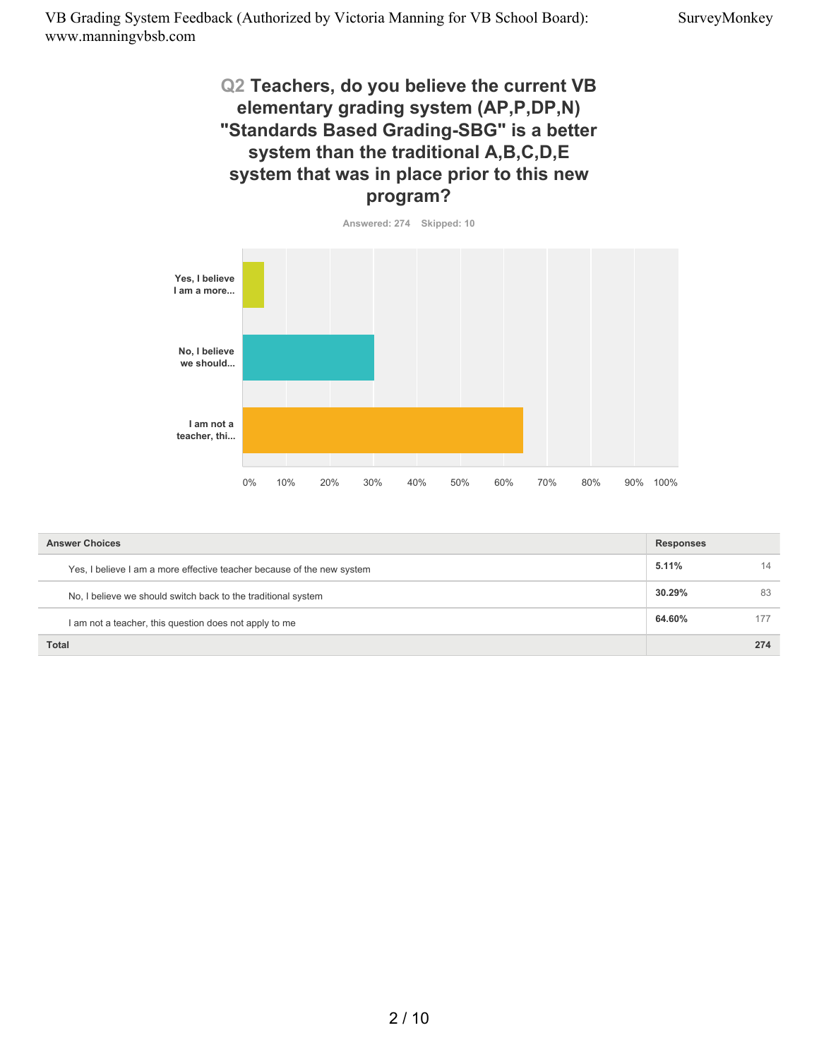# **Q2 Teachers, do you believe the current VB elementary grading system (AP,P,DP,N) "Standards Based Grading-SBG" is a better system than the traditional A,B,C,D,E system that was in place prior to this new program?**



| <b>Answer Choices</b>                                                  |        |     |
|------------------------------------------------------------------------|--------|-----|
| Yes, I believe I am a more effective teacher because of the new system | 5.11%  | 14  |
| No, I believe we should switch back to the traditional system          | 30.29% | 83  |
| I am not a teacher, this question does not apply to me                 | 64.60% | 177 |
| <b>Total</b>                                                           |        | 274 |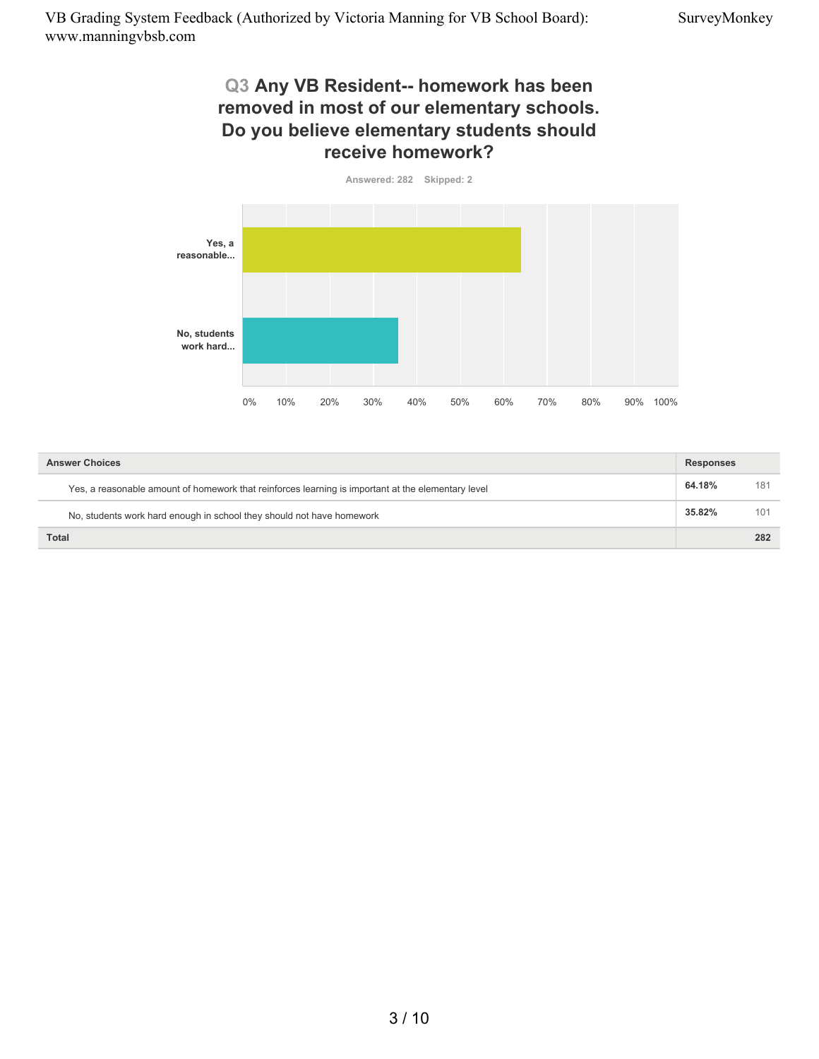## **Q3 Any VB Resident-- homework has been removed in most of our elementary schools. Do you believe elementary students should receive homework?**



| <b>Answer Choices</b>                                                                              | <b>Responses</b> |     |
|----------------------------------------------------------------------------------------------------|------------------|-----|
| Yes, a reasonable amount of homework that reinforces learning is important at the elementary level | 64.18%           | 181 |
| No, students work hard enough in school they should not have homework                              | 35.82%           | 101 |
| <b>Total</b>                                                                                       |                  | 282 |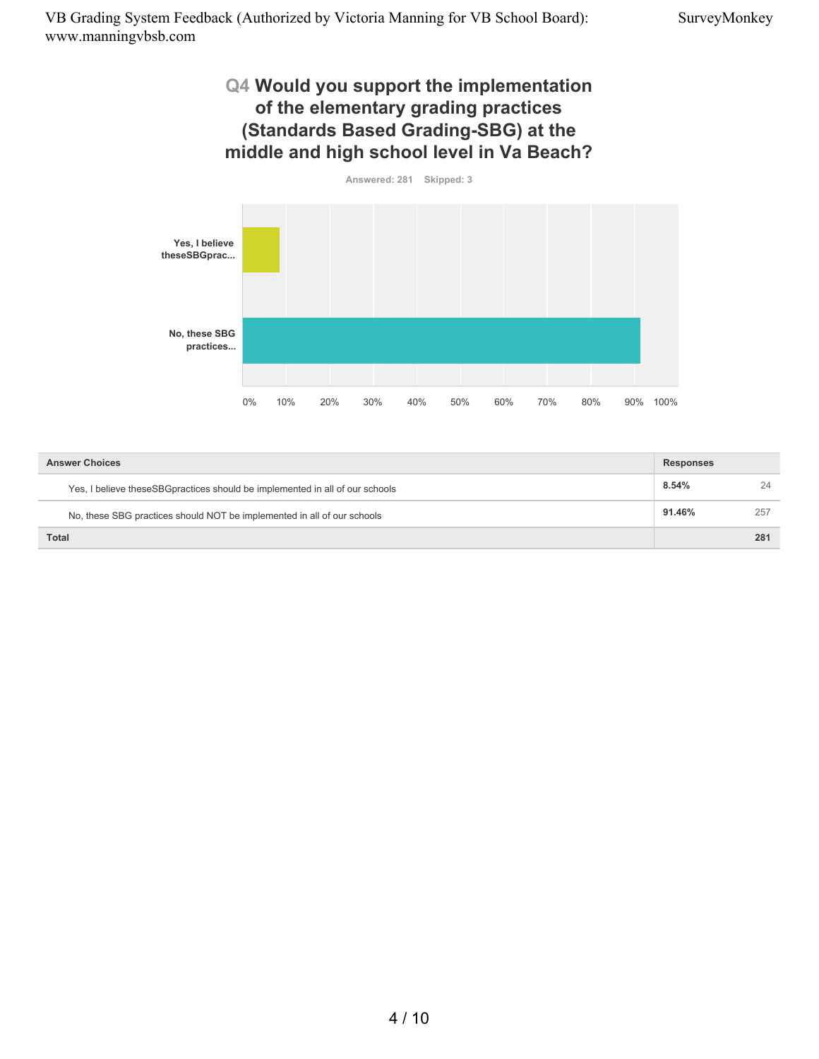## **Q4 Would you support the implementation of the elementary grading practices (Standards Based Grading-SBG) at the middle and high school level in Va Beach?**



| <b>Answer Choices</b>                                                        |        | <b>Responses</b> |  |
|------------------------------------------------------------------------------|--------|------------------|--|
| Yes, I believe theseSBGpractices should be implemented in all of our schools | 8.54%  | 24               |  |
| No, these SBG practices should NOT be implemented in all of our schools      | 91.46% | 257              |  |
| <b>Total</b>                                                                 |        | 281              |  |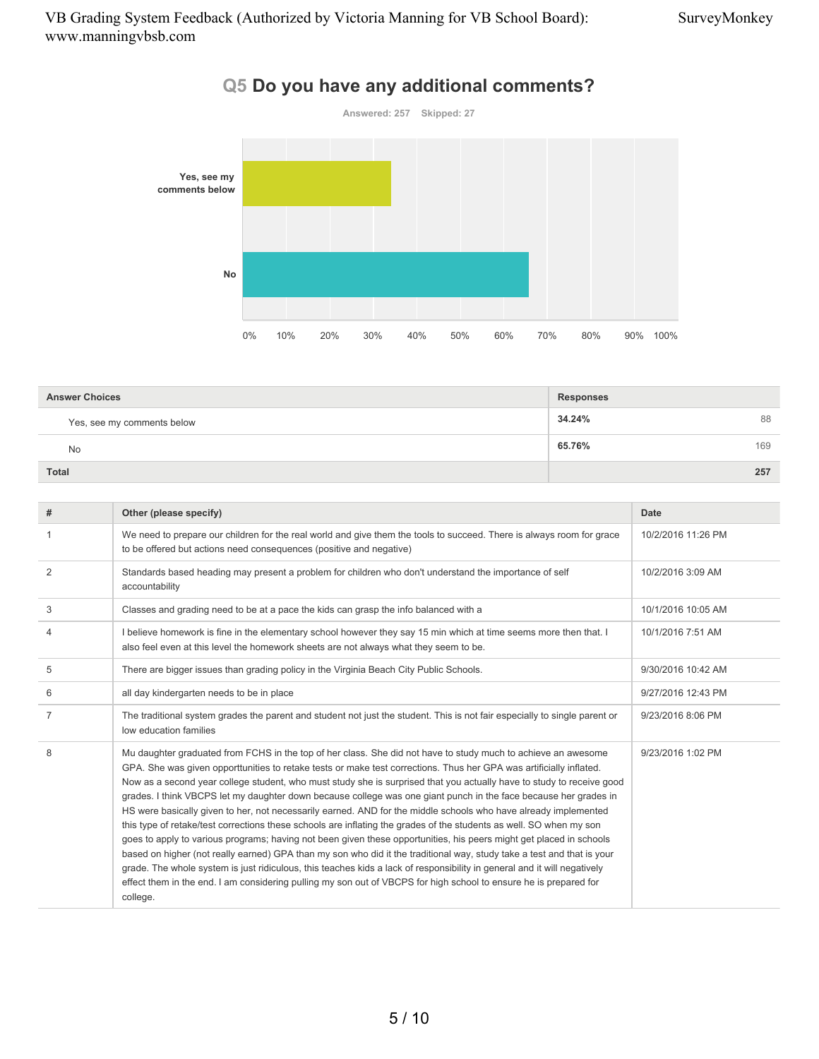

| Q5 Do you have any additional comments? |  |
|-----------------------------------------|--|
|-----------------------------------------|--|

| <b>Answer Choices</b>      | <b>Responses</b> |
|----------------------------|------------------|
| Yes, see my comments below | 34.24%<br>88     |
| No                         | 169<br>65.76%    |
| <b>Total</b>               | 257              |

| #              | Other (please specify)                                                                                                                                                                                                                                                                                                                                                                                                                                                                                                                                                                                                                                                                                                                                                                                                                                                                                                                                                                                                                                                                                                                                                                                                                    | Date               |
|----------------|-------------------------------------------------------------------------------------------------------------------------------------------------------------------------------------------------------------------------------------------------------------------------------------------------------------------------------------------------------------------------------------------------------------------------------------------------------------------------------------------------------------------------------------------------------------------------------------------------------------------------------------------------------------------------------------------------------------------------------------------------------------------------------------------------------------------------------------------------------------------------------------------------------------------------------------------------------------------------------------------------------------------------------------------------------------------------------------------------------------------------------------------------------------------------------------------------------------------------------------------|--------------------|
| 1              | We need to prepare our children for the real world and give them the tools to succeed. There is always room for grace<br>to be offered but actions need consequences (positive and negative)                                                                                                                                                                                                                                                                                                                                                                                                                                                                                                                                                                                                                                                                                                                                                                                                                                                                                                                                                                                                                                              | 10/2/2016 11:26 PM |
| $\overline{2}$ | Standards based heading may present a problem for children who don't understand the importance of self<br>accountability                                                                                                                                                                                                                                                                                                                                                                                                                                                                                                                                                                                                                                                                                                                                                                                                                                                                                                                                                                                                                                                                                                                  | 10/2/2016 3:09 AM  |
| 3              | Classes and grading need to be at a pace the kids can grasp the info balanced with a                                                                                                                                                                                                                                                                                                                                                                                                                                                                                                                                                                                                                                                                                                                                                                                                                                                                                                                                                                                                                                                                                                                                                      | 10/1/2016 10:05 AM |
| 4              | I believe homework is fine in the elementary school however they say 15 min which at time seems more then that. I<br>also feel even at this level the homework sheets are not always what they seem to be.                                                                                                                                                                                                                                                                                                                                                                                                                                                                                                                                                                                                                                                                                                                                                                                                                                                                                                                                                                                                                                | 10/1/2016 7:51 AM  |
| 5              | There are bigger issues than grading policy in the Virginia Beach City Public Schools.                                                                                                                                                                                                                                                                                                                                                                                                                                                                                                                                                                                                                                                                                                                                                                                                                                                                                                                                                                                                                                                                                                                                                    | 9/30/2016 10:42 AM |
| 6              | all day kindergarten needs to be in place                                                                                                                                                                                                                                                                                                                                                                                                                                                                                                                                                                                                                                                                                                                                                                                                                                                                                                                                                                                                                                                                                                                                                                                                 | 9/27/2016 12:43 PM |
| 7              | The traditional system grades the parent and student not just the student. This is not fair especially to single parent or<br>low education families                                                                                                                                                                                                                                                                                                                                                                                                                                                                                                                                                                                                                                                                                                                                                                                                                                                                                                                                                                                                                                                                                      | 9/23/2016 8:06 PM  |
| 8              | Mu daughter graduated from FCHS in the top of her class. She did not have to study much to achieve an awesome<br>GPA. She was given opporttunities to retake tests or make test corrections. Thus her GPA was artificially inflated.<br>Now as a second year college student, who must study she is surprised that you actually have to study to receive good<br>grades. I think VBCPS let my daughter down because college was one giant punch in the face because her grades in<br>HS were basically given to her, not necessarily earned. AND for the middle schools who have already implemented<br>this type of retake/test corrections these schools are inflating the grades of the students as well. SO when my son<br>goes to apply to various programs; having not been given these opportunities, his peers might get placed in schools<br>based on higher (not really earned) GPA than my son who did it the traditional way, study take a test and that is your<br>grade. The whole system is just ridiculous, this teaches kids a lack of responsibility in general and it will negatively<br>effect them in the end. I am considering pulling my son out of VBCPS for high school to ensure he is prepared for<br>college. | 9/23/2016 1:02 PM  |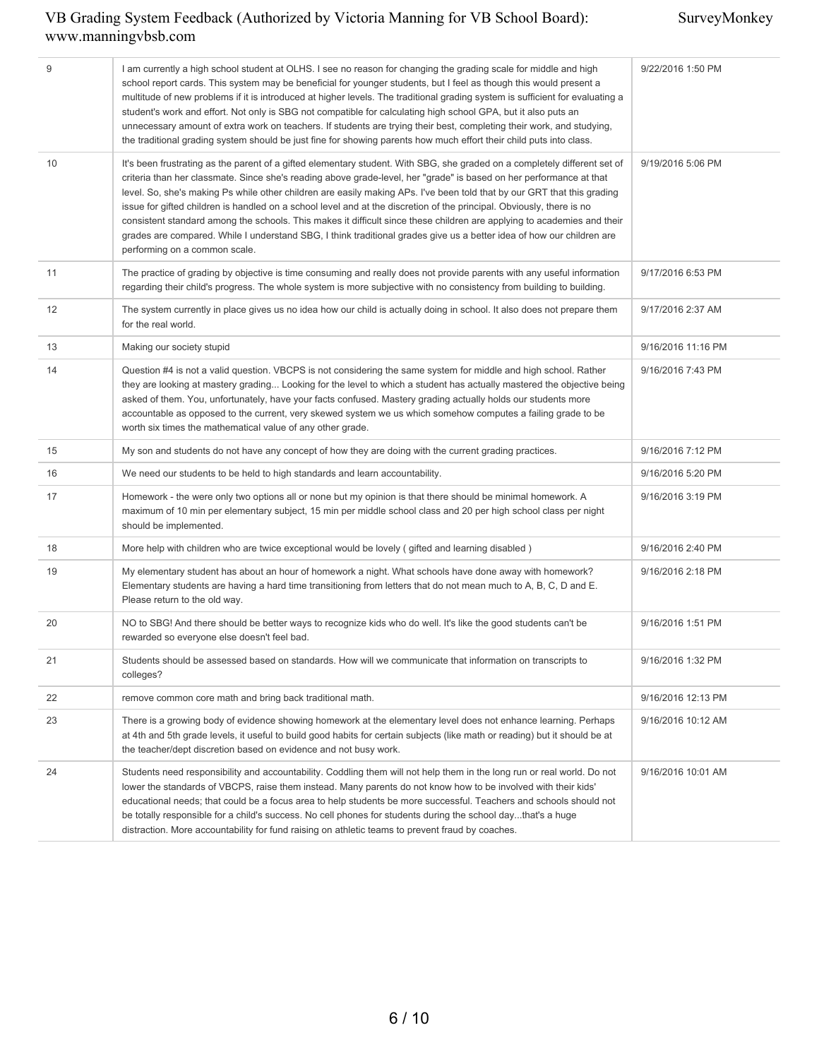| 9  | I am currently a high school student at OLHS. I see no reason for changing the grading scale for middle and high<br>school report cards. This system may be beneficial for younger students, but I feel as though this would present a<br>multitude of new problems if it is introduced at higher levels. The traditional grading system is sufficient for evaluating a<br>student's work and effort. Not only is SBG not compatible for calculating high school GPA, but it also puts an<br>unnecessary amount of extra work on teachers. If students are trying their best, completing their work, and studying,<br>the traditional grading system should be just fine for showing parents how much effort their child puts into class.                                                 | 9/22/2016 1:50 PM  |
|----|-------------------------------------------------------------------------------------------------------------------------------------------------------------------------------------------------------------------------------------------------------------------------------------------------------------------------------------------------------------------------------------------------------------------------------------------------------------------------------------------------------------------------------------------------------------------------------------------------------------------------------------------------------------------------------------------------------------------------------------------------------------------------------------------|--------------------|
| 10 | It's been frustrating as the parent of a gifted elementary student. With SBG, she graded on a completely different set of<br>criteria than her classmate. Since she's reading above grade-level, her "grade" is based on her performance at that<br>level. So, she's making Ps while other children are easily making APs. I've been told that by our GRT that this grading<br>issue for gifted children is handled on a school level and at the discretion of the principal. Obviously, there is no<br>consistent standard among the schools. This makes it difficult since these children are applying to academies and their<br>grades are compared. While I understand SBG, I think traditional grades give us a better idea of how our children are<br>performing on a common scale. | 9/19/2016 5:06 PM  |
| 11 | The practice of grading by objective is time consuming and really does not provide parents with any useful information<br>regarding their child's progress. The whole system is more subjective with no consistency from building to building.                                                                                                                                                                                                                                                                                                                                                                                                                                                                                                                                            | 9/17/2016 6:53 PM  |
| 12 | The system currently in place gives us no idea how our child is actually doing in school. It also does not prepare them<br>for the real world.                                                                                                                                                                                                                                                                                                                                                                                                                                                                                                                                                                                                                                            | 9/17/2016 2:37 AM  |
| 13 | Making our society stupid                                                                                                                                                                                                                                                                                                                                                                                                                                                                                                                                                                                                                                                                                                                                                                 | 9/16/2016 11:16 PM |
| 14 | Question #4 is not a valid question. VBCPS is not considering the same system for middle and high school. Rather<br>they are looking at mastery grading Looking for the level to which a student has actually mastered the objective being<br>asked of them. You, unfortunately, have your facts confused. Mastery grading actually holds our students more<br>accountable as opposed to the current, very skewed system we us which somehow computes a failing grade to be<br>worth six times the mathematical value of any other grade.                                                                                                                                                                                                                                                 | 9/16/2016 7:43 PM  |
| 15 | My son and students do not have any concept of how they are doing with the current grading practices.                                                                                                                                                                                                                                                                                                                                                                                                                                                                                                                                                                                                                                                                                     | 9/16/2016 7:12 PM  |
| 16 | We need our students to be held to high standards and learn accountability.                                                                                                                                                                                                                                                                                                                                                                                                                                                                                                                                                                                                                                                                                                               | 9/16/2016 5:20 PM  |
| 17 | Homework - the were only two options all or none but my opinion is that there should be minimal homework. A<br>maximum of 10 min per elementary subject, 15 min per middle school class and 20 per high school class per night<br>should be implemented.                                                                                                                                                                                                                                                                                                                                                                                                                                                                                                                                  | 9/16/2016 3:19 PM  |
| 18 | More help with children who are twice exceptional would be lovely (gifted and learning disabled)                                                                                                                                                                                                                                                                                                                                                                                                                                                                                                                                                                                                                                                                                          | 9/16/2016 2:40 PM  |
| 19 | My elementary student has about an hour of homework a night. What schools have done away with homework?<br>Elementary students are having a hard time transitioning from letters that do not mean much to A, B, C, D and E.<br>Please return to the old way.                                                                                                                                                                                                                                                                                                                                                                                                                                                                                                                              | 9/16/2016 2:18 PM  |
| 20 | NO to SBG! And there should be better ways to recognize kids who do well. It's like the good students can't be<br>rewarded so everyone else doesn't feel bad.                                                                                                                                                                                                                                                                                                                                                                                                                                                                                                                                                                                                                             | 9/16/2016 1:51 PM  |
| 21 | Students should be assessed based on standards. How will we communicate that information on transcripts to<br>colleges?                                                                                                                                                                                                                                                                                                                                                                                                                                                                                                                                                                                                                                                                   | 9/16/2016 1:32 PM  |
| 22 | remove common core math and bring back traditional math.                                                                                                                                                                                                                                                                                                                                                                                                                                                                                                                                                                                                                                                                                                                                  | 9/16/2016 12:13 PM |
| 23 | There is a growing body of evidence showing homework at the elementary level does not enhance learning. Perhaps<br>at 4th and 5th grade levels, it useful to build good habits for certain subjects (like math or reading) but it should be at<br>the teacher/dept discretion based on evidence and not busy work.                                                                                                                                                                                                                                                                                                                                                                                                                                                                        | 9/16/2016 10:12 AM |
| 24 | Students need responsibility and accountability. Coddling them will not help them in the long run or real world. Do not<br>lower the standards of VBCPS, raise them instead. Many parents do not know how to be involved with their kids'<br>educational needs; that could be a focus area to help students be more successful. Teachers and schools should not<br>be totally responsible for a child's success. No cell phones for students during the school daythat's a huge<br>distraction. More accountability for fund raising on athletic teams to prevent fraud by coaches.                                                                                                                                                                                                       | 9/16/2016 10:01 AM |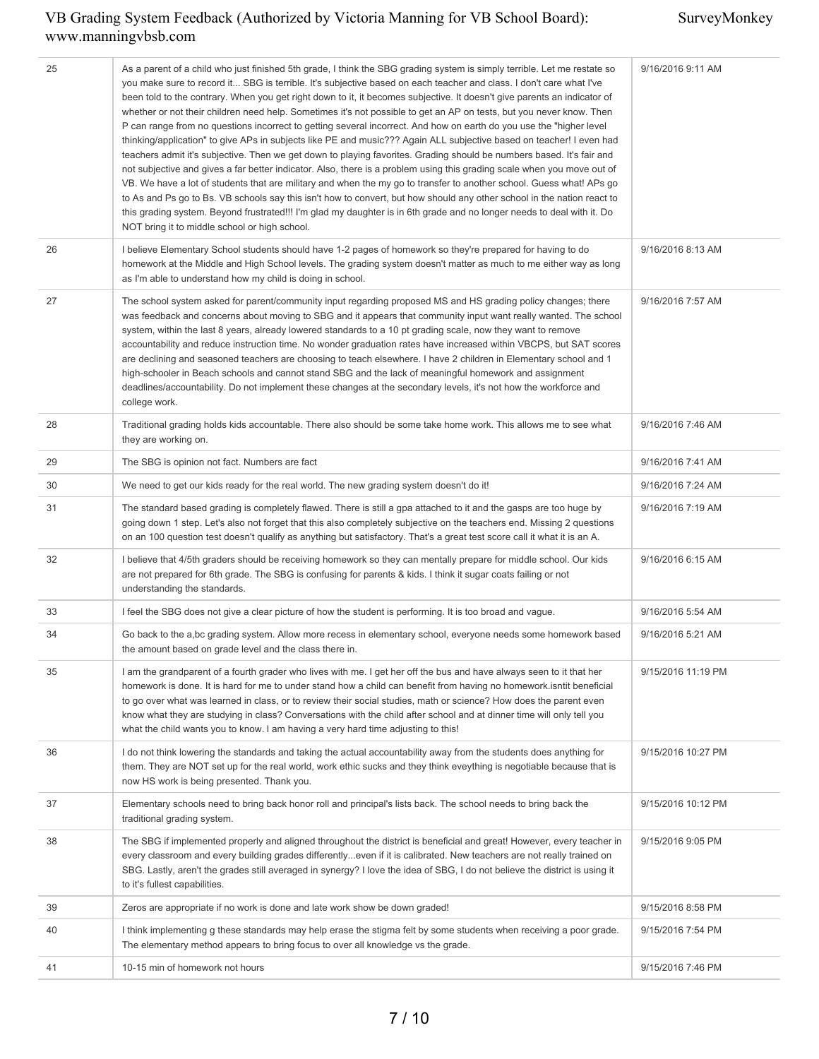| 25 | As a parent of a child who just finished 5th grade, I think the SBG grading system is simply terrible. Let me restate so<br>you make sure to record it SBG is terrible. It's subjective based on each teacher and class. I don't care what I've<br>been told to the contrary. When you get right down to it, it becomes subjective. It doesn't give parents an indicator of<br>whether or not their children need help. Sometimes it's not possible to get an AP on tests, but you never know. Then<br>P can range from no questions incorrect to getting several incorrect. And how on earth do you use the "higher level<br>thinking/application" to give APs in subjects like PE and music??? Again ALL subjective based on teacher! I even had<br>teachers admit it's subjective. Then we get down to playing favorites. Grading should be numbers based. It's fair and<br>not subjective and gives a far better indicator. Also, there is a problem using this grading scale when you move out of<br>VB. We have a lot of students that are military and when the my go to transfer to another school. Guess what! APs go<br>to As and Ps go to Bs. VB schools say this isn't how to convert, but how should any other school in the nation react to<br>this grading system. Beyond frustrated!!! I'm glad my daughter is in 6th grade and no longer needs to deal with it. Do<br>NOT bring it to middle school or high school. | 9/16/2016 9:11 AM  |
|----|--------------------------------------------------------------------------------------------------------------------------------------------------------------------------------------------------------------------------------------------------------------------------------------------------------------------------------------------------------------------------------------------------------------------------------------------------------------------------------------------------------------------------------------------------------------------------------------------------------------------------------------------------------------------------------------------------------------------------------------------------------------------------------------------------------------------------------------------------------------------------------------------------------------------------------------------------------------------------------------------------------------------------------------------------------------------------------------------------------------------------------------------------------------------------------------------------------------------------------------------------------------------------------------------------------------------------------------------------------------------------------------------------------------------------------------|--------------------|
| 26 | I believe Elementary School students should have 1-2 pages of homework so they're prepared for having to do<br>homework at the Middle and High School levels. The grading system doesn't matter as much to me either way as long<br>as I'm able to understand how my child is doing in school.                                                                                                                                                                                                                                                                                                                                                                                                                                                                                                                                                                                                                                                                                                                                                                                                                                                                                                                                                                                                                                                                                                                                       | 9/16/2016 8:13 AM  |
| 27 | The school system asked for parent/community input regarding proposed MS and HS grading policy changes; there<br>was feedback and concerns about moving to SBG and it appears that community input want really wanted. The school<br>system, within the last 8 years, already lowered standards to a 10 pt grading scale, now they want to remove<br>accountability and reduce instruction time. No wonder graduation rates have increased within VBCPS, but SAT scores<br>are declining and seasoned teachers are choosing to teach elsewhere. I have 2 children in Elementary school and 1<br>high-schooler in Beach schools and cannot stand SBG and the lack of meaningful homework and assignment<br>deadlines/accountability. Do not implement these changes at the secondary levels, it's not how the workforce and<br>college work.                                                                                                                                                                                                                                                                                                                                                                                                                                                                                                                                                                                          | 9/16/2016 7:57 AM  |
| 28 | Traditional grading holds kids accountable. There also should be some take home work. This allows me to see what<br>they are working on.                                                                                                                                                                                                                                                                                                                                                                                                                                                                                                                                                                                                                                                                                                                                                                                                                                                                                                                                                                                                                                                                                                                                                                                                                                                                                             | 9/16/2016 7:46 AM  |
| 29 | The SBG is opinion not fact. Numbers are fact                                                                                                                                                                                                                                                                                                                                                                                                                                                                                                                                                                                                                                                                                                                                                                                                                                                                                                                                                                                                                                                                                                                                                                                                                                                                                                                                                                                        | 9/16/2016 7:41 AM  |
| 30 | We need to get our kids ready for the real world. The new grading system doesn't do it!                                                                                                                                                                                                                                                                                                                                                                                                                                                                                                                                                                                                                                                                                                                                                                                                                                                                                                                                                                                                                                                                                                                                                                                                                                                                                                                                              | 9/16/2016 7:24 AM  |
| 31 | The standard based grading is completely flawed. There is still a gpa attached to it and the gasps are too huge by<br>going down 1 step. Let's also not forget that this also completely subjective on the teachers end. Missing 2 questions<br>on an 100 question test doesn't qualify as anything but satisfactory. That's a great test score call it what it is an A.                                                                                                                                                                                                                                                                                                                                                                                                                                                                                                                                                                                                                                                                                                                                                                                                                                                                                                                                                                                                                                                             | 9/16/2016 7:19 AM  |
| 32 | I believe that 4/5th graders should be receiving homework so they can mentally prepare for middle school. Our kids<br>are not prepared for 6th grade. The SBG is confusing for parents & kids. I think it sugar coats failing or not<br>understanding the standards.                                                                                                                                                                                                                                                                                                                                                                                                                                                                                                                                                                                                                                                                                                                                                                                                                                                                                                                                                                                                                                                                                                                                                                 | 9/16/2016 6:15 AM  |
| 33 | I feel the SBG does not give a clear picture of how the student is performing. It is too broad and vague.                                                                                                                                                                                                                                                                                                                                                                                                                                                                                                                                                                                                                                                                                                                                                                                                                                                                                                                                                                                                                                                                                                                                                                                                                                                                                                                            | 9/16/2016 5:54 AM  |
| 34 | Go back to the a,bc grading system. Allow more recess in elementary school, everyone needs some homework based<br>the amount based on grade level and the class there in.                                                                                                                                                                                                                                                                                                                                                                                                                                                                                                                                                                                                                                                                                                                                                                                                                                                                                                                                                                                                                                                                                                                                                                                                                                                            | 9/16/2016 5:21 AM  |
| 35 | I am the grandparent of a fourth grader who lives with me. I get her off the bus and have always seen to it that her<br>homework is done. It is hard for me to under stand how a child can benefit from having no homework.isntit beneficial<br>to go over what was learned in class, or to review their social studies, math or science? How does the parent even<br>know what they are studying in class? Conversations with the child after school and at dinner time will only tell you<br>what the child wants you to know. I am having a very hard time adjusting to this!                                                                                                                                                                                                                                                                                                                                                                                                                                                                                                                                                                                                                                                                                                                                                                                                                                                     | 9/15/2016 11:19 PM |
| 36 | I do not think lowering the standards and taking the actual accountability away from the students does anything for<br>them. They are NOT set up for the real world, work ethic sucks and they think eveything is negotiable because that is<br>now HS work is being presented. Thank you.                                                                                                                                                                                                                                                                                                                                                                                                                                                                                                                                                                                                                                                                                                                                                                                                                                                                                                                                                                                                                                                                                                                                           | 9/15/2016 10:27 PM |
| 37 | Elementary schools need to bring back honor roll and principal's lists back. The school needs to bring back the<br>traditional grading system.                                                                                                                                                                                                                                                                                                                                                                                                                                                                                                                                                                                                                                                                                                                                                                                                                                                                                                                                                                                                                                                                                                                                                                                                                                                                                       | 9/15/2016 10:12 PM |
| 38 | The SBG if implemented properly and aligned throughout the district is beneficial and great! However, every teacher in<br>every classroom and every building grades differentlyeven if it is calibrated. New teachers are not really trained on<br>SBG. Lastly, aren't the grades still averaged in synergy? I love the idea of SBG, I do not believe the district is using it<br>to it's fullest capabilities.                                                                                                                                                                                                                                                                                                                                                                                                                                                                                                                                                                                                                                                                                                                                                                                                                                                                                                                                                                                                                      | 9/15/2016 9:05 PM  |
| 39 | Zeros are appropriate if no work is done and late work show be down graded!                                                                                                                                                                                                                                                                                                                                                                                                                                                                                                                                                                                                                                                                                                                                                                                                                                                                                                                                                                                                                                                                                                                                                                                                                                                                                                                                                          | 9/15/2016 8:58 PM  |
| 40 | I think implementing g these standards may help erase the stigma felt by some students when receiving a poor grade.<br>The elementary method appears to bring focus to over all knowledge vs the grade.                                                                                                                                                                                                                                                                                                                                                                                                                                                                                                                                                                                                                                                                                                                                                                                                                                                                                                                                                                                                                                                                                                                                                                                                                              | 9/15/2016 7:54 PM  |
| 41 | 10-15 min of homework not hours                                                                                                                                                                                                                                                                                                                                                                                                                                                                                                                                                                                                                                                                                                                                                                                                                                                                                                                                                                                                                                                                                                                                                                                                                                                                                                                                                                                                      | 9/15/2016 7:46 PM  |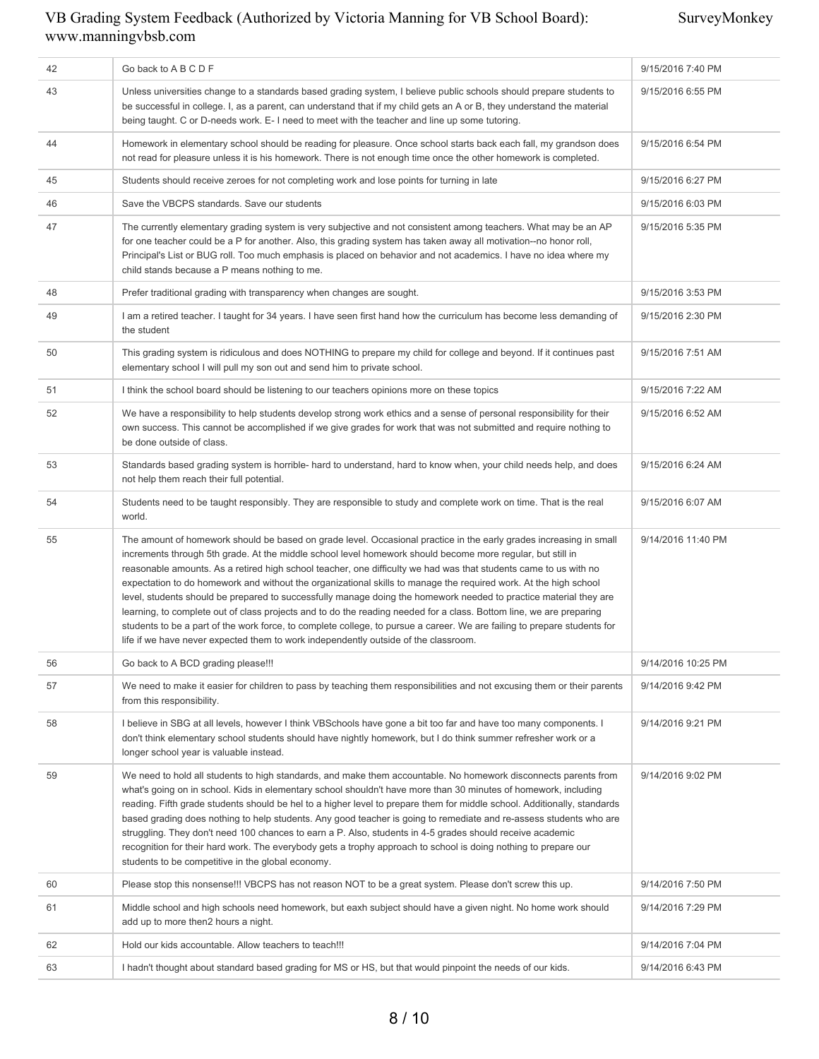SurveyMonkey

| 42 | Go back to A B C D F                                                                                                                                                                                                                                                                                                                                                                                                                                                                                                                                                                                                                                                                                                                                                                                                                                                                                                                    | 9/15/2016 7:40 PM  |
|----|-----------------------------------------------------------------------------------------------------------------------------------------------------------------------------------------------------------------------------------------------------------------------------------------------------------------------------------------------------------------------------------------------------------------------------------------------------------------------------------------------------------------------------------------------------------------------------------------------------------------------------------------------------------------------------------------------------------------------------------------------------------------------------------------------------------------------------------------------------------------------------------------------------------------------------------------|--------------------|
| 43 | Unless universities change to a standards based grading system, I believe public schools should prepare students to<br>be successful in college. I, as a parent, can understand that if my child gets an A or B, they understand the material<br>being taught. C or D-needs work. E- I need to meet with the teacher and line up some tutoring.                                                                                                                                                                                                                                                                                                                                                                                                                                                                                                                                                                                         | 9/15/2016 6:55 PM  |
| 44 | Homework in elementary school should be reading for pleasure. Once school starts back each fall, my grandson does<br>not read for pleasure unless it is his homework. There is not enough time once the other homework is completed.                                                                                                                                                                                                                                                                                                                                                                                                                                                                                                                                                                                                                                                                                                    | 9/15/2016 6:54 PM  |
| 45 | Students should receive zeroes for not completing work and lose points for turning in late                                                                                                                                                                                                                                                                                                                                                                                                                                                                                                                                                                                                                                                                                                                                                                                                                                              | 9/15/2016 6:27 PM  |
| 46 | Save the VBCPS standards. Save our students                                                                                                                                                                                                                                                                                                                                                                                                                                                                                                                                                                                                                                                                                                                                                                                                                                                                                             | 9/15/2016 6:03 PM  |
| 47 | The currently elementary grading system is very subjective and not consistent among teachers. What may be an AP<br>for one teacher could be a P for another. Also, this grading system has taken away all motivation--no honor roll,<br>Principal's List or BUG roll. Too much emphasis is placed on behavior and not academics. I have no idea where my<br>child stands because a P means nothing to me.                                                                                                                                                                                                                                                                                                                                                                                                                                                                                                                               | 9/15/2016 5:35 PM  |
| 48 | Prefer traditional grading with transparency when changes are sought.                                                                                                                                                                                                                                                                                                                                                                                                                                                                                                                                                                                                                                                                                                                                                                                                                                                                   | 9/15/2016 3:53 PM  |
| 49 | I am a retired teacher. I taught for 34 years. I have seen first hand how the curriculum has become less demanding of<br>the student                                                                                                                                                                                                                                                                                                                                                                                                                                                                                                                                                                                                                                                                                                                                                                                                    | 9/15/2016 2:30 PM  |
| 50 | This grading system is ridiculous and does NOTHING to prepare my child for college and beyond. If it continues past<br>elementary school I will pull my son out and send him to private school.                                                                                                                                                                                                                                                                                                                                                                                                                                                                                                                                                                                                                                                                                                                                         | 9/15/2016 7:51 AM  |
| 51 | I think the school board should be listening to our teachers opinions more on these topics                                                                                                                                                                                                                                                                                                                                                                                                                                                                                                                                                                                                                                                                                                                                                                                                                                              | 9/15/2016 7:22 AM  |
| 52 | We have a responsibility to help students develop strong work ethics and a sense of personal responsibility for their<br>own success. This cannot be accomplished if we give grades for work that was not submitted and require nothing to<br>be done outside of class.                                                                                                                                                                                                                                                                                                                                                                                                                                                                                                                                                                                                                                                                 | 9/15/2016 6:52 AM  |
| 53 | Standards based grading system is horrible- hard to understand, hard to know when, your child needs help, and does<br>not help them reach their full potential.                                                                                                                                                                                                                                                                                                                                                                                                                                                                                                                                                                                                                                                                                                                                                                         | 9/15/2016 6:24 AM  |
| 54 | Students need to be taught responsibly. They are responsible to study and complete work on time. That is the real<br>world.                                                                                                                                                                                                                                                                                                                                                                                                                                                                                                                                                                                                                                                                                                                                                                                                             | 9/15/2016 6:07 AM  |
| 55 | The amount of homework should be based on grade level. Occasional practice in the early grades increasing in small<br>increments through 5th grade. At the middle school level homework should become more regular, but still in<br>reasonable amounts. As a retired high school teacher, one difficulty we had was that students came to us with no<br>expectation to do homework and without the organizational skills to manage the required work. At the high school<br>level, students should be prepared to successfully manage doing the homework needed to practice material they are<br>learning, to complete out of class projects and to do the reading needed for a class. Bottom line, we are preparing<br>students to be a part of the work force, to complete college, to pursue a career. We are failing to prepare students for<br>life if we have never expected them to work independently outside of the classroom. | 9/14/2016 11:40 PM |
| 56 | Go back to A BCD grading please!!!                                                                                                                                                                                                                                                                                                                                                                                                                                                                                                                                                                                                                                                                                                                                                                                                                                                                                                      | 9/14/2016 10:25 PM |
| 57 | We need to make it easier for children to pass by teaching them responsibilities and not excusing them or their parents<br>from this responsibility.                                                                                                                                                                                                                                                                                                                                                                                                                                                                                                                                                                                                                                                                                                                                                                                    | 9/14/2016 9:42 PM  |
| 58 | I believe in SBG at all levels, however I think VBSchools have gone a bit too far and have too many components. I<br>don't think elementary school students should have nightly homework, but I do think summer refresher work or a<br>longer school year is valuable instead.                                                                                                                                                                                                                                                                                                                                                                                                                                                                                                                                                                                                                                                          | 9/14/2016 9:21 PM  |
| 59 | We need to hold all students to high standards, and make them accountable. No homework disconnects parents from<br>what's going on in school. Kids in elementary school shouldn't have more than 30 minutes of homework, including<br>reading. Fifth grade students should be hel to a higher level to prepare them for middle school. Additionally, standards<br>based grading does nothing to help students. Any good teacher is going to remediate and re-assess students who are<br>struggling. They don't need 100 chances to earn a P. Also, students in 4-5 grades should receive academic<br>recognition for their hard work. The everybody gets a trophy approach to school is doing nothing to prepare our<br>students to be competitive in the global economy.                                                                                                                                                               | 9/14/2016 9:02 PM  |
| 60 | Please stop this nonsense!!! VBCPS has not reason NOT to be a great system. Please don't screw this up.                                                                                                                                                                                                                                                                                                                                                                                                                                                                                                                                                                                                                                                                                                                                                                                                                                 | 9/14/2016 7:50 PM  |
| 61 | Middle school and high schools need homework, but eaxh subject should have a given night. No home work should<br>add up to more then2 hours a night.                                                                                                                                                                                                                                                                                                                                                                                                                                                                                                                                                                                                                                                                                                                                                                                    | 9/14/2016 7:29 PM  |
| 62 | Hold our kids accountable. Allow teachers to teach!!!                                                                                                                                                                                                                                                                                                                                                                                                                                                                                                                                                                                                                                                                                                                                                                                                                                                                                   | 9/14/2016 7:04 PM  |
| 63 | I hadn't thought about standard based grading for MS or HS, but that would pinpoint the needs of our kids.                                                                                                                                                                                                                                                                                                                                                                                                                                                                                                                                                                                                                                                                                                                                                                                                                              | 9/14/2016 6:43 PM  |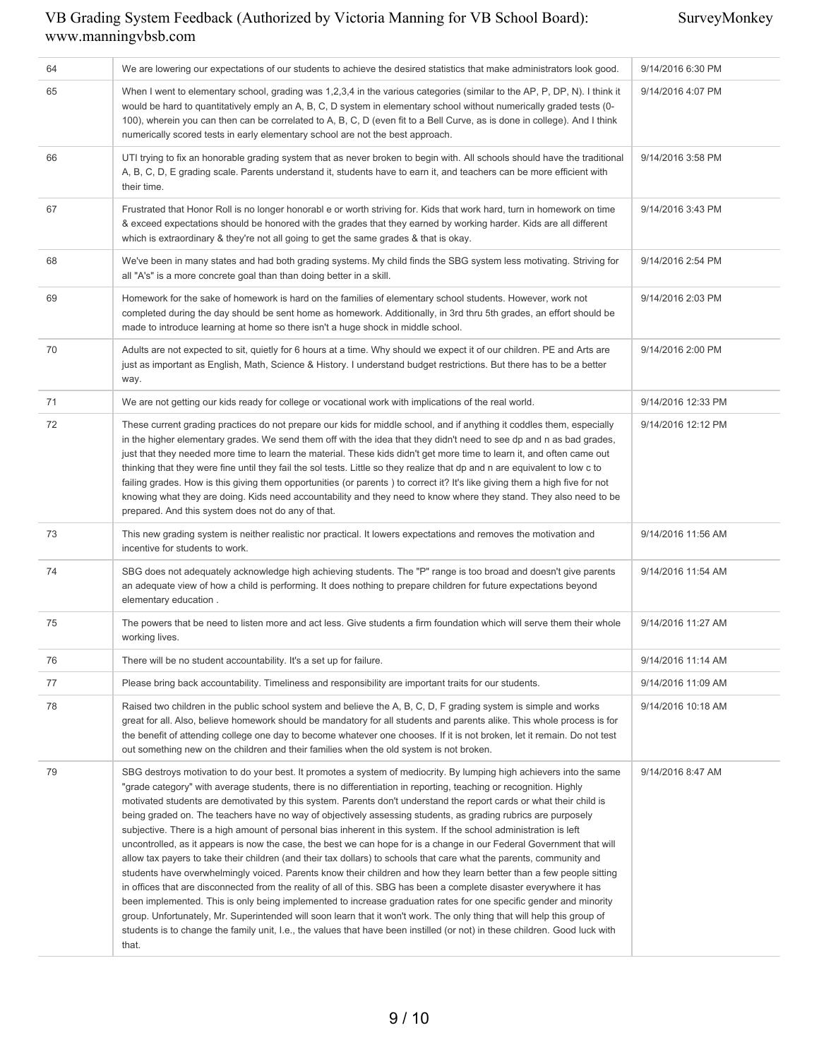SurveyMonkey

| 64 | We are lowering our expectations of our students to achieve the desired statistics that make administrators look good.                                                                                                                                                                                                                                                                                                                                                                                                                                                                                                                                                                                                                                                                                                                                                                                                                                                                                                                                                                                                                                                                                                                                                                                                                                                                                                                                                                           | 9/14/2016 6:30 PM  |
|----|--------------------------------------------------------------------------------------------------------------------------------------------------------------------------------------------------------------------------------------------------------------------------------------------------------------------------------------------------------------------------------------------------------------------------------------------------------------------------------------------------------------------------------------------------------------------------------------------------------------------------------------------------------------------------------------------------------------------------------------------------------------------------------------------------------------------------------------------------------------------------------------------------------------------------------------------------------------------------------------------------------------------------------------------------------------------------------------------------------------------------------------------------------------------------------------------------------------------------------------------------------------------------------------------------------------------------------------------------------------------------------------------------------------------------------------------------------------------------------------------------|--------------------|
| 65 | When I went to elementary school, grading was 1,2,3,4 in the various categories (similar to the AP, P, DP, N). I think it<br>would be hard to quantitatively emply an A, B, C, D system in elementary school without numerically graded tests (0-<br>100), wherein you can then can be correlated to A, B, C, D (even fit to a Bell Curve, as is done in college). And I think<br>numerically scored tests in early elementary school are not the best approach.                                                                                                                                                                                                                                                                                                                                                                                                                                                                                                                                                                                                                                                                                                                                                                                                                                                                                                                                                                                                                                 | 9/14/2016 4:07 PM  |
| 66 | UTI trying to fix an honorable grading system that as never broken to begin with. All schools should have the traditional<br>A, B, C, D, E grading scale. Parents understand it, students have to earn it, and teachers can be more efficient with<br>their time.                                                                                                                                                                                                                                                                                                                                                                                                                                                                                                                                                                                                                                                                                                                                                                                                                                                                                                                                                                                                                                                                                                                                                                                                                                | 9/14/2016 3:58 PM  |
| 67 | Frustrated that Honor Roll is no longer honorabl e or worth striving for. Kids that work hard, turn in homework on time<br>& exceed expectations should be honored with the grades that they earned by working harder. Kids are all different<br>which is extraordinary & they're not all going to get the same grades & that is okay.                                                                                                                                                                                                                                                                                                                                                                                                                                                                                                                                                                                                                                                                                                                                                                                                                                                                                                                                                                                                                                                                                                                                                           | 9/14/2016 3:43 PM  |
| 68 | We've been in many states and had both grading systems. My child finds the SBG system less motivating. Striving for<br>all "A's" is a more concrete goal than than doing better in a skill.                                                                                                                                                                                                                                                                                                                                                                                                                                                                                                                                                                                                                                                                                                                                                                                                                                                                                                                                                                                                                                                                                                                                                                                                                                                                                                      | 9/14/2016 2:54 PM  |
| 69 | Homework for the sake of homework is hard on the families of elementary school students. However, work not<br>completed during the day should be sent home as homework. Additionally, in 3rd thru 5th grades, an effort should be<br>made to introduce learning at home so there isn't a huge shock in middle school.                                                                                                                                                                                                                                                                                                                                                                                                                                                                                                                                                                                                                                                                                                                                                                                                                                                                                                                                                                                                                                                                                                                                                                            | 9/14/2016 2:03 PM  |
| 70 | Adults are not expected to sit, quietly for 6 hours at a time. Why should we expect it of our children. PE and Arts are<br>just as important as English, Math, Science & History. I understand budget restrictions. But there has to be a better<br>way.                                                                                                                                                                                                                                                                                                                                                                                                                                                                                                                                                                                                                                                                                                                                                                                                                                                                                                                                                                                                                                                                                                                                                                                                                                         | 9/14/2016 2:00 PM  |
| 71 | We are not getting our kids ready for college or vocational work with implications of the real world.                                                                                                                                                                                                                                                                                                                                                                                                                                                                                                                                                                                                                                                                                                                                                                                                                                                                                                                                                                                                                                                                                                                                                                                                                                                                                                                                                                                            | 9/14/2016 12:33 PM |
| 72 | These current grading practices do not prepare our kids for middle school, and if anything it coddles them, especially<br>in the higher elementary grades. We send them off with the idea that they didn't need to see dp and n as bad grades,<br>just that they needed more time to learn the material. These kids didn't get more time to learn it, and often came out<br>thinking that they were fine until they fail the sol tests. Little so they realize that dp and n are equivalent to low c to<br>failing grades. How is this giving them opportunities (or parents) to correct it? It's like giving them a high five for not<br>knowing what they are doing. Kids need accountability and they need to know where they stand. They also need to be<br>prepared. And this system does not do any of that.                                                                                                                                                                                                                                                                                                                                                                                                                                                                                                                                                                                                                                                                               | 9/14/2016 12:12 PM |
| 73 | This new grading system is neither realistic nor practical. It lowers expectations and removes the motivation and<br>incentive for students to work.                                                                                                                                                                                                                                                                                                                                                                                                                                                                                                                                                                                                                                                                                                                                                                                                                                                                                                                                                                                                                                                                                                                                                                                                                                                                                                                                             | 9/14/2016 11:56 AM |
| 74 | SBG does not adequately acknowledge high achieving students. The "P" range is too broad and doesn't give parents<br>an adequate view of how a child is performing. It does nothing to prepare children for future expectations beyond<br>elementary education.                                                                                                                                                                                                                                                                                                                                                                                                                                                                                                                                                                                                                                                                                                                                                                                                                                                                                                                                                                                                                                                                                                                                                                                                                                   | 9/14/2016 11:54 AM |
| 75 | The powers that be need to listen more and act less. Give students a firm foundation which will serve them their whole<br>working lives.                                                                                                                                                                                                                                                                                                                                                                                                                                                                                                                                                                                                                                                                                                                                                                                                                                                                                                                                                                                                                                                                                                                                                                                                                                                                                                                                                         | 9/14/2016 11:27 AM |
| 76 | There will be no student accountability. It's a set up for failure.                                                                                                                                                                                                                                                                                                                                                                                                                                                                                                                                                                                                                                                                                                                                                                                                                                                                                                                                                                                                                                                                                                                                                                                                                                                                                                                                                                                                                              | 9/14/2016 11:14 AM |
| 77 | Please bring back accountability. Timeliness and responsibility are important traits for our students.                                                                                                                                                                                                                                                                                                                                                                                                                                                                                                                                                                                                                                                                                                                                                                                                                                                                                                                                                                                                                                                                                                                                                                                                                                                                                                                                                                                           | 9/14/2016 11:09 AM |
| 78 | Raised two children in the public school system and believe the A, B, C, D, F grading system is simple and works<br>great for all. Also, believe homework should be mandatory for all students and parents alike. This whole process is for<br>the benefit of attending college one day to become whatever one chooses. If it is not broken, let it remain. Do not test<br>out something new on the children and their families when the old system is not broken.                                                                                                                                                                                                                                                                                                                                                                                                                                                                                                                                                                                                                                                                                                                                                                                                                                                                                                                                                                                                                               | 9/14/2016 10:18 AM |
| 79 | SBG destroys motivation to do your best. It promotes a system of mediocrity. By lumping high achievers into the same<br>"grade category" with average students, there is no differentiation in reporting, teaching or recognition. Highly<br>motivated students are demotivated by this system. Parents don't understand the report cards or what their child is<br>being graded on. The teachers have no way of objectively assessing students, as grading rubrics are purposely<br>subjective. There is a high amount of personal bias inherent in this system. If the school administration is left<br>uncontrolled, as it appears is now the case, the best we can hope for is a change in our Federal Government that will<br>allow tax payers to take their children (and their tax dollars) to schools that care what the parents, community and<br>students have overwhelmingly voiced. Parents know their children and how they learn better than a few people sitting<br>in offices that are disconnected from the reality of all of this. SBG has been a complete disaster everywhere it has<br>been implemented. This is only being implemented to increase graduation rates for one specific gender and minority<br>group. Unfortunately, Mr. Superintended will soon learn that it won't work. The only thing that will help this group of<br>students is to change the family unit, I.e., the values that have been instilled (or not) in these children. Good luck with<br>that. | 9/14/2016 8:47 AM  |